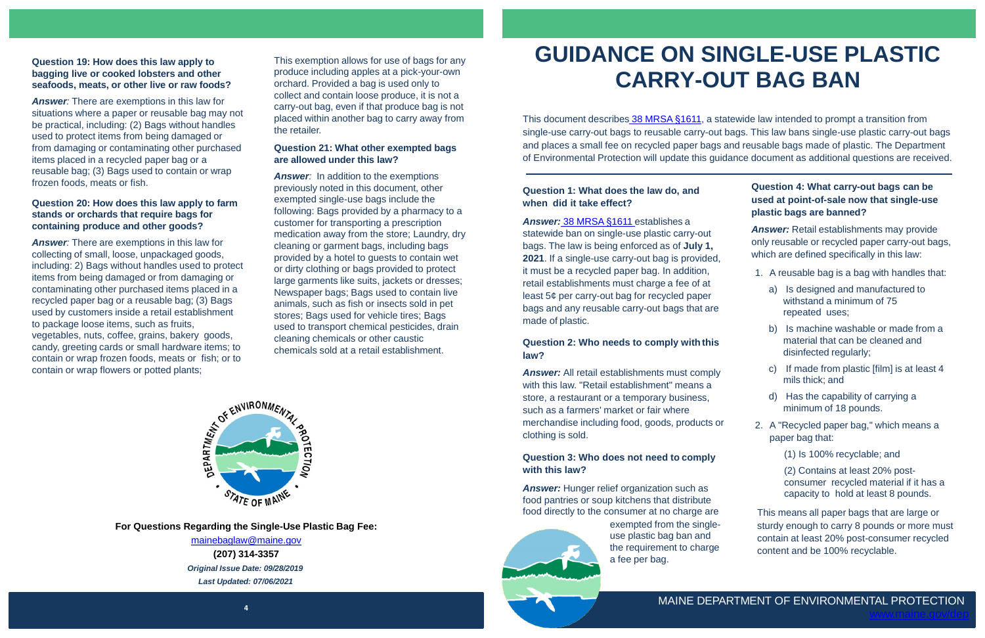**4**

**For Questions Regarding the Single-Use Plastic Bag Fee:**

[mainebaglaw@maine.gov](mailto:mainebaglaw@maine.gov) **(207) 314-3357** *Original Issue Date: 09/28/2019 Last Updated: 07/06/2021*

# **GUIDANCE ON SINGLE-USE PLASTIC CARRY-OUT BAG BAN**

# **Question 1: What does the law do, and when did it take effect?**

*Answer:* [38 MRSA §1611](http://www.mainelegislature.org/legis/bills/bills_129th/chapters/PUBLIC346.asp) establishes a statewide ban on single-use plastic carry-out bags. The law is being enforced as of **July 1, 2021**. If a single-use carry-out bag is provided, it must be a recycled paper bag. In addition, retail establishments must charge a fee of at least 5¢ per carry-out bag for recycled paper bags and any reusable carry-out bags that are made of plastic.

**Answer:** Hunger relief organization such as food pantries or soup kitchens that distribute food directly to the consumer at no charge are



#### **Question 2: Who needs to comply with this law?**

**Answer:** Retail establishments may provide only reusable or recycled paper carry-out bags, which are defined specifically in this law:

*Answer:* All retail establishments must comply with this law. "Retail establishment" means a store, a restaurant or a temporary business, such as a farmers' market or fair where merchandise including food, goods, products or clothing is sold.

## **Question 3: Who does not need to comply with this law?**

This document describes [38 MRSA §1611](http://www.mainelegislature.org/legis/bills/bills_129th/chapters/PUBLIC346.asp), a statewide law intended to prompt a transition from single-use carry-out bags to reusable carry-out bags. This law bans single-use plastic carry-out bags and places a small fee on recycled paper bags and reusable bags made of plastic. The Department of Environmental Protection will update this guidance document as additional questions are received.

# **Question 4: What carry-out bags can be used at point-of-sale now that single-use plastic bags are banned?**

- 1. A reusable bag is a bag with handles that:
	- a) Is designed and manufactured to withstand a minimum of 75 repeated uses;
	- b) Is machine washable or made from a material that can be cleaned and disinfected regularly;
	- c) If made from plastic [film] is at least 4 mils thick; and
	- d) Has the capability of carrying a minimum of 18 pounds.
- 2. A "Recycled paper bag," which means a paper bag that:
	- (1) Is 100% recyclable; and

(2) Contains at least 20% postconsumer recycled material if it has a capacity to hold at least 8 pounds.

**Answer**: In addition to the exemptions previously noted in this document, other exempted single-use bags include the following: Bags provided by a pharmacy to a customer for transporting a prescription medication away from the store; Laundry, dry cleaning or garment bags, including bags provided by a hotel to guests to contain wet or dirty clothing or bags provided to protect large garments like suits, jackets or dresses; Newspaper bags; Bags used to contain live animals, such as fish or insects sold in pet stores; Bags used for vehicle tires; Bags used to transport chemical pesticides, drain cleaning chemicals or other caustic chemicals sold at a retail establishment.



#### **Question 19: How does this law apply to bagging live or cooked lobsters and other seafoods, meats, or other live or raw foods?**

*Answer:* There are exemptions in this law for situations where a paper or reusable bag may not be practical, including: (2) Bags without handles used to protect items from being damaged or from damaging or contaminating other purchased items placed in a recycled paper bag or a reusable bag; (3) Bags used to contain or wrap frozen foods, meats or fish.

#### **Question 20: How does this law apply to farm stands or orchards that require bags for containing produce and other goods?**

*Answer:* There are exemptions in this law for collecting of small, loose, unpackaged goods, including: 2) Bags without handles used to protect items from being damaged or from damaging or contaminating other purchased items placed in a recycled paper bag or a reusable bag; (3) Bags used by customers inside a retail establishment to package loose items, such as fruits, vegetables, nuts, coffee, grains, bakery goods, candy, greeting cards or small hardware items; to contain or wrap frozen foods, meats or fish; or to contain or wrap flowers or potted plants;

> This means all paper bags that are large or sturdy enough to carry 8 pounds or more must contain at least 20% post-consumer recycled content and be 100% recyclable.

exempted from the singleuse plastic bag ban and the requirement to charge a fee per bag.

#### **Question 21: What other exempted bags are allowed under this law?**

This exemption allows for use of bags for any produce including apples at a pick-your-own orchard. Provided a bag is used only to collect and contain loose produce, it is not a carry-out bag, even if that produce bag is not placed within another bag to carry away from the retailer.